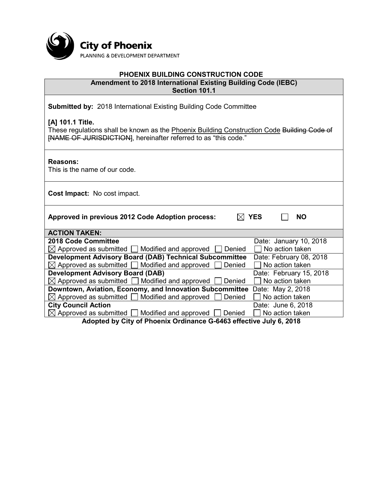

# **PHOENIX BUILDING CONSTRUCTION CODE**

**Amendment to 2018 International Existing Building Code (IEBC) Section 101.1**

**Submitted by:** 2018 International Existing Building Code Committee

**[A] 101.1 Title.** 

These regulations shall be known as the Phoenix Building Construction Code Building Code of [NAME OF JURISDICTION], hereinafter referred to as "this code."

**Reasons:**

This is the name of our code.

**Cost Impact:** No cost impact.

| Approved in previous 2012 Code Adoption process: | $\boxtimes$ YES | $\Box$ NO |  |
|--------------------------------------------------|-----------------|-----------|--|
|--------------------------------------------------|-----------------|-----------|--|

| <b>ACTION TAKEN:</b>                                                                                                                                                                                                                                                                                                                                                                                                                                                                |
|-------------------------------------------------------------------------------------------------------------------------------------------------------------------------------------------------------------------------------------------------------------------------------------------------------------------------------------------------------------------------------------------------------------------------------------------------------------------------------------|
| $0.040 \text{ A} \cdot \text{A} \cdot \text{A} \cdot \text{B} \cdot \text{B} \cdot \text{B} \cdot \text{B} \cdot \text{B} \cdot \text{A} \cdot \text{B} \cdot \text{B} \cdot \text{B} \cdot \text{B} \cdot \text{B} \cdot \text{B} \cdot \text{B} \cdot \text{B} \cdot \text{B} \cdot \text{B} \cdot \text{B} \cdot \text{B} \cdot \text{B} \cdot \text{B} \cdot \text{B} \cdot \text{B} \cdot \text{B} \cdot \text{B} \cdot \text{B} \cdot \text{B} \cdot \text{B} \cdot \text{B}$ |

| <b>ACTION TAKEN:</b>                                                            |                         |  |  |
|---------------------------------------------------------------------------------|-------------------------|--|--|
| 2018 Code Committee                                                             | Date: January 10, 2018  |  |  |
| $\boxtimes$ Approved as submitted $\Box$ Modified and approved $\Box$<br>Denied | $\Box$ No action taken  |  |  |
| <b>Development Advisory Board (DAB) Technical Subcommittee</b>                  | Date: February 08, 2018 |  |  |
| $\boxtimes$ Approved as submitted $\Box$ Modified and approved $\Box$ Denied    | $\Box$ No action taken  |  |  |
| <b>Development Advisory Board (DAB)</b>                                         | Date: February 15, 2018 |  |  |
| $\boxtimes$ Approved as submitted $\Box$ Modified and approved $\Box$ Denied    | $\Box$ No action taken  |  |  |
| Downtown, Aviation, Economy, and Innovation Subcommittee                        | Date: May 2, 2018       |  |  |
| $\boxtimes$ Approved as submitted $\Box$ Modified and approved $\Box$ Denied    | $\Box$ No action taken  |  |  |
| <b>City Council Action</b>                                                      | Date: June 6, 2018      |  |  |
| $\boxtimes$ Approved as submitted $\Box$ Modified and approved $\Box$ Denied    | No action taken         |  |  |
| Adopted by City of Dhoeniy Ordinance O C4C2 offective July C 2040               |                         |  |  |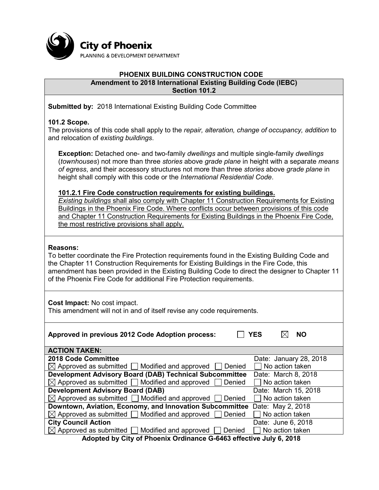

#### **PHOENIX BUILDING CONSTRUCTION CODE Amendment to 2018 International Existing Building Code (IEBC) Section 101.2**

**Submitted by:** 2018 International Existing Building Code Committee

## **101.2 Scope.**

The provisions of this code shall apply to the *repair, alteration, change of occupancy, addition* to and relocation of *existing buildings*.

**Exception:** Detached one- and two-family *dwellings* and multiple single-family *dwellings* (*townhouses*) not more than three *stories* above *grade plane* in height with a separate *means of egress*, and their accessory structures not more than three *stories* above *grade plane* in height shall comply with this code or the *International Residential Code*.

## **101.2.1 Fire Code construction requirements for existing buildings.**

*Existing buildings* shall also comply with Chapter 11 Construction Requirements for Existing Buildings in the Phoenix Fire Code. Where conflicts occur between provisions of this code and Chapter 11 Construction Requirements for Existing Buildings in the Phoenix Fire Code, the most restrictive provisions shall apply.

## **Reasons:**

To better coordinate the Fire Protection requirements found in the Existing Building Code and the Chapter 11 Construction Requirements for Existing Buildings in the Fire Code, this amendment has been provided in the Existing Building Code to direct the designer to Chapter 11 of the Phoenix Fire Code for additional Fire Protection requirements.

**Cost Impact:** No cost impact.

This amendment will not in and of itself revise any code requirements.

| Approved in previous 2012 Code Adoption process:                                | NΟ<br>YES              |  |  |
|---------------------------------------------------------------------------------|------------------------|--|--|
| <b>ACTION TAKEN:</b>                                                            |                        |  |  |
| 2018 Code Committee                                                             | Date: January 28, 2018 |  |  |
| $\boxtimes$ Approved as submitted $\Box$ Modified and approved<br>Denied        | No action taken        |  |  |
| <b>Development Advisory Board (DAB) Technical Subcommittee</b>                  | Date: March 8, 2018    |  |  |
| $\boxtimes$ Approved as submitted $\Box$ Modified and approved  <br>Denied      | No action taken        |  |  |
| <b>Development Advisory Board (DAB)</b>                                         | Date: March 15, 2018   |  |  |
| $\boxtimes$ Approved as submitted $\Box$ Modified and approved [<br>Denied      | No action taken        |  |  |
| Downtown, Aviation, Economy, and Innovation Subcommittee                        | Date: May 2, 2018      |  |  |
| $\boxtimes$ Approved as submitted $\Box$ Modified and approved [<br>Denied      | $\Box$ No action taken |  |  |
| <b>City Council Action</b>                                                      | Date: June 6, 2018     |  |  |
| $\boxtimes$ Approved as submitted $\Box$ Modified and approved $\Box$<br>Denied | $\Box$ No action taken |  |  |
| Adopted by City of Phoenix Ordinance G-6463 effective July 6, 2018              |                        |  |  |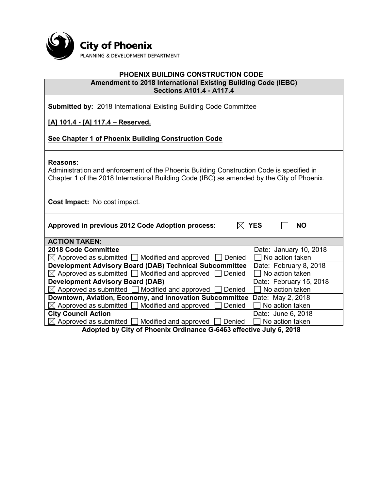

#### **PHOENIX BUILDING CONSTRUCTION CODE Amendment to 2018 International Existing Building Code (IEBC) Sections A101.4 - A117.4**

|  |  | <b>Submitted by: 2018 International Existing Building Code Committee</b> |  |  |  |  |
|--|--|--------------------------------------------------------------------------|--|--|--|--|
|--|--|--------------------------------------------------------------------------|--|--|--|--|

## **[A] 101.4 - [A] 117.4 – Reserved.**

## **See Chapter 1 of Phoenix Building Construction Code**

#### **Reasons:**

Administration and enforcement of the Phoenix Building Construction Code is specified in Chapter 1 of the 2018 International Building Code (IBC) as amended by the City of Phoenix.

**Cost Impact:** No cost impact.

Approved in previous 2012 Code Adoption process:  $\boxtimes$  YES  $\Box$  NO

| <b>ACTION TAKEN:</b>                                                            |                         |  |  |
|---------------------------------------------------------------------------------|-------------------------|--|--|
| 2018 Code Committee                                                             | Date: January 10, 2018  |  |  |
| $\boxtimes$ Approved as submitted $\Box$ Modified and approved<br>Denied        | $\Box$ No action taken  |  |  |
| <b>Development Advisory Board (DAB) Technical Subcommittee</b>                  | Date: February 8, 2018  |  |  |
| $\boxtimes$ Approved as submitted $\Box$ Modified and approved $\Box$ Denied    | $\Box$ No action taken  |  |  |
| <b>Development Advisory Board (DAB)</b>                                         | Date: February 15, 2018 |  |  |
| $\boxtimes$ Approved as submitted $\Box$ Modified and approved $\Box$ Denied    | $\Box$ No action taken  |  |  |
| Downtown, Aviation, Economy, and Innovation Subcommittee Date: May 2, 2018      |                         |  |  |
| $\boxtimes$ Approved as submitted $\Box$ Modified and approved $\Box$ Denied    | No action taken         |  |  |
| <b>City Council Action</b>                                                      | Date: June 6, 2018      |  |  |
| $\boxtimes$ Approved as submitted $\Box$ Modified and approved $\Box$<br>Denied | No action taken         |  |  |
| Adopted by City of Dhoeniy Ordinance O C4C2 offective July C 2040               |                         |  |  |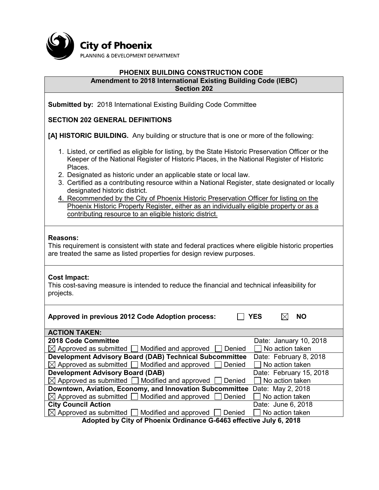

## **PHOENIX BUILDING CONSTRUCTION CODE**

#### **Amendment to 2018 International Existing Building Code (IEBC) Section 202**

**Submitted by:** 2018 International Existing Building Code Committee

## **SECTION 202 GENERAL DEFINITIONS**

**[A] HISTORIC BUILDING.** Any building or structure that is one or more of the following:

- 1. Listed, or certified as eligible for listing, by the State Historic Preservation Officer or the Keeper of the National Register of Historic Places, in the National Register of Historic Places.
- 2. Designated as historic under an applicable state or local law.
- 3. Certified as a contributing resource within a National Register, state designated or locally designated historic district.
- 4. Recommended by the City of Phoenix Historic Preservation Officer for listing on the Phoenix Historic Property Register, either as an individually eligible property or as a contributing resource to an eligible historic district.

#### **Reasons:**

This requirement is consistent with state and federal practices where eligible historic properties are treated the same as listed properties for design review purposes.

#### **Cost Impact:**

This cost-saving measure is intended to reduce the financial and technical infeasibility for projects.

| Approved in previous 2012 Code Adoption process:                         | <b>YES</b><br><b>NO</b> |
|--------------------------------------------------------------------------|-------------------------|
| <b>ACTION TAKEN:</b>                                                     |                         |
| 2018 Code Committee                                                      | Date: January 10, 2018  |
| $\boxtimes$ Approved as submitted $\Box$ Modified and approved<br>Denied | No action taken         |
| <b>Development Advisory Board (DAB) Technical Subcommittee</b>           | Date: February 8, 2018  |
| $\boxtimes$ Approved as submitted $\Box$ Modified and approved<br>Denied | $\Box$ No action taken  |
| <b>Development Advisory Board (DAB)</b>                                  | Date: February 15, 2018 |
| $\boxtimes$ Approved as submitted $\Box$ Modified and approved<br>Denied | $\Box$ No action taken  |
| Downtown, Aviation, Economy, and Innovation Subcommittee                 | Date: May 2, 2018       |
| $\boxtimes$ Approved as submitted $\Box$ Modified and approved<br>Denied | No action taken         |
| <b>City Council Action</b>                                               | Date: June 6, 2018      |
| $\boxtimes$ Approved as submitted $\Box$ Modified and approved<br>Denied | No action taken         |
| Adented by Otto of Bloomby Ondingnes O. 0400 offerting July 0, 0040      |                         |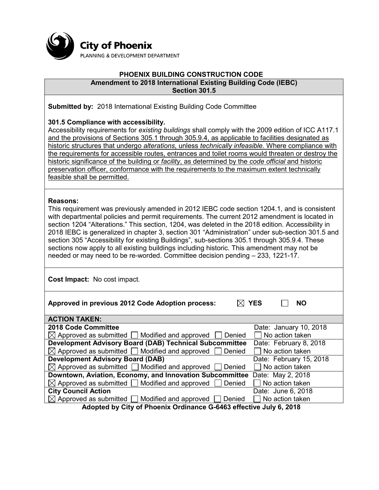

#### **PHOENIX BUILDING CONSTRUCTION CODE Amendment to 2018 International Existing Building Code (IEBC) Section 301.5**

**Submitted by:** 2018 International Existing Building Code Committee

### **301.5 Compliance with accessibility.**

Accessibility requirements for *existing buildings* shall comply with the 2009 edition of ICC A117.1 and the provisions of Sections 305.1 through 305.9.4, as applicable to facilities designated as historic structures that undergo *alterations*, unless *technically infeasible*. Where compliance with the requirements for accessible routes, entrances and toilet rooms would threaten or destroy the historic significance of the building or *facility*, as determined by the *code official* and historic preservation officer, conformance with the requirements to the maximum extent technically feasible shall be permitted.

#### **Reasons:**

This requirement was previously amended in 2012 IEBC code section 1204.1, and is consistent with departmental policies and permit requirements. The current 2012 amendment is located in section 1204 "Alterations." This section, 1204, was deleted in the 2018 edition. Accessibility in 2018 IEBC is generalized in chapter 3, section 301 "Administration" under sub-section 301.5 and section 305 "Accessibility for existing Buildings", sub-sections 305.1 through 305.9.4. These sections now apply to all existing buildings including historic. This amendment may not be needed or may need to be re-worded. Committee decision pending – 233, 1221-17.

**Cost Impact:** No cost impact.

| Approved in previous 2012 Code Adoption process:                                | <b>YES</b><br><b>NO</b> |  |
|---------------------------------------------------------------------------------|-------------------------|--|
| <b>ACTION TAKEN:</b>                                                            |                         |  |
| 2018 Code Committee                                                             | Date: January 10, 2018  |  |
| $\boxtimes$ Approved as submitted $\Box$ Modified and approved<br>Denied        | No action taken         |  |
| <b>Development Advisory Board (DAB) Technical Subcommittee</b>                  | Date: February 8, 2018  |  |
| $\boxtimes$ Approved as submitted $\Box$ Modified and approved<br>Denied        | $\Box$ No action taken  |  |
| <b>Development Advisory Board (DAB)</b>                                         | Date: February 15, 2018 |  |
| $\boxtimes$ Approved as submitted $\Box$ Modified and approved<br>Denied        | No action taken         |  |
| Downtown, Aviation, Economy, and Innovation Subcommittee                        | Date: May 2, 2018       |  |
| $\boxtimes$ Approved as submitted $\Box$ Modified and approved<br>Denied        | No action taken         |  |
| <b>City Council Action</b>                                                      | Date: June 6, 2018      |  |
| $\boxtimes$ Approved as submitted $\Box$ Modified and approved $\Box$<br>Denied | No action taken         |  |
| Adopted by City of Phoenix Ordinance G-6463 effective July 6, 2018              |                         |  |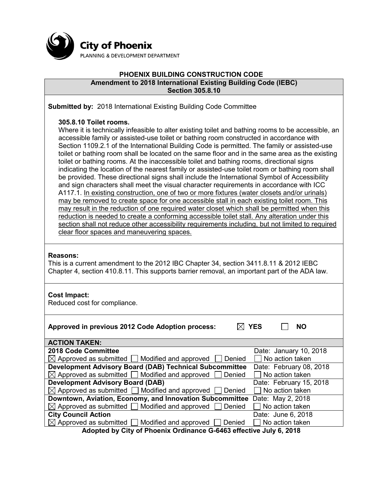

## **PHOENIX BUILDING CONSTRUCTION CODE Amendment to 2018 International Existing Building Code (IEBC) Section 305.8.10**

**Submitted by:** 2018 International Existing Building Code Committee

## **305.8.10 Toilet rooms.**

Where it is technically infeasible to alter existing toilet and bathing rooms to be accessible, an accessible family or assisted-use toilet or bathing room constructed in accordance with Section 1109.2.1 of the International Building Code is permitted. The family or assisted-use toilet or bathing room shall be located on the same floor and in the same area as the existing toilet or bathing rooms. At the inaccessible toilet and bathing rooms, directional signs indicating the location of the nearest family or assisted-use toilet room or bathing room shall be provided. These directional signs shall include the International Symbol of Accessibility and sign characters shall meet the visual character requirements in accordance with ICC A117.1. In existing construction, one of two or more fixtures (water closets and/or urinals) may be removed to create space for one accessible stall in each existing toilet room. This may result in the reduction of one required water closet which shall be permitted when this reduction is needed to create a conforming accessible toilet stall. Any alteration under this section shall not reduce other accessibility requirements including, but not limited to required clear floor spaces and maneuvering spaces.

#### **Reasons:**

This is a current amendment to the 2012 IBC Chapter 34, section 3411.8.11 & 2012 IEBC Chapter 4, section 410.8.11. This supports barrier removal, an important part of the ADA law.

## **Cost Impact:**

Reduced cost for compliance.

| Approved in previous 2012 Code Adoption process:                           | <b>YES</b><br><b>NO</b> |  |  |
|----------------------------------------------------------------------------|-------------------------|--|--|
| <b>ACTION TAKEN:</b>                                                       |                         |  |  |
| 2018 Code Committee                                                        | Date: January 10, 2018  |  |  |
| $\boxtimes$ Approved as submitted $\Box$ Modified and approved<br>Denied   | No action taken         |  |  |
| <b>Development Advisory Board (DAB) Technical Subcommittee</b>             | Date: February 08, 2018 |  |  |
| $\boxtimes$ Approved as submitted $\Box$ Modified and approved<br>Denied   | No action taken         |  |  |
| <b>Development Advisory Board (DAB)</b>                                    | Date: February 15, 2018 |  |  |
| $\boxtimes$ Approved as submitted $\Box$ Modified and approved<br>Denied   | No action taken         |  |  |
| Downtown, Aviation, Economy, and Innovation Subcommittee                   | Date: May 2, 2018       |  |  |
| $\boxtimes$ Approved as submitted $\Box$ Modified and approved<br>Denied   | No action taken         |  |  |
| <b>City Council Action</b>                                                 | Date: June 6, 2018      |  |  |
| $\boxtimes$ Approved as submitted $\Box$ Modified and approved [<br>Denied | No action taken         |  |  |
| Adopted by City of Phoenix Ordinance G-6463 effective July 6, 2018         |                         |  |  |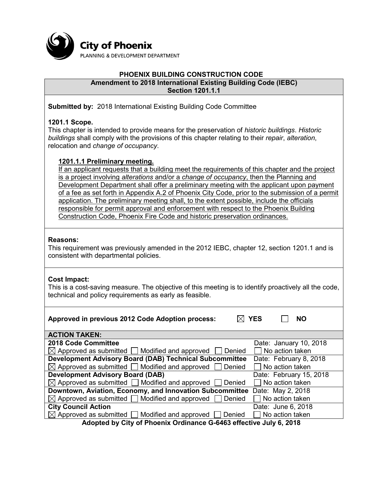

#### **PHOENIX BUILDING CONSTRUCTION CODE Amendment to 2018 International Existing Building Code (IEBC) Section 1201.1.1**

**Submitted by:** 2018 International Existing Building Code Committee

## **1201.1 Scope.**

This chapter is intended to provide means for the preservation of *historic buildings*. *Historic buildings* shall comply with the provisions of this chapter relating to their *repair*, *alteration*, relocation and *change of occupancy*.

## **1201.1.1 Preliminary meeting.**

If an applicant requests that a building meet the requirements of this chapter and the project is a project involving *alterations* and/or a *change of occupancy*, then the Planning and Development Department shall offer a preliminary meeting with the applicant upon payment of a fee as set forth in Appendix A.2 of Phoenix City Code, prior to the submission of a permit application. The preliminary meeting shall, to the extent possible, include the officials responsible for permit approval and enforcement with respect to the Phoenix Building Construction Code, Phoenix Fire Code and historic preservation ordinances.

## **Reasons:**

This requirement was previously amended in the 2012 IEBC, chapter 12, section 1201.1 and is consistent with departmental policies.

## **Cost Impact:**

This is a cost-saving measure. The objective of this meeting is to identify proactively all the code, technical and policy requirements as early as feasible.

| Approved in previous 2012 Code Adoption process:                         | <b>YES</b><br><b>NO</b> |
|--------------------------------------------------------------------------|-------------------------|
| <b>ACTION TAKEN:</b>                                                     |                         |
| 2018 Code Committee                                                      | Date: January 10, 2018  |
| $\boxtimes$ Approved as submitted $\Box$ Modified and approved<br>Denied | No action taken         |
| <b>Development Advisory Board (DAB) Technical Subcommittee</b>           | Date: February 8, 2018  |
| $\boxtimes$ Approved as submitted $\Box$ Modified and approved<br>Denied | No action taken         |
| <b>Development Advisory Board (DAB)</b>                                  | Date: February 15, 2018 |
| $\boxtimes$ Approved as submitted $\Box$ Modified and approved<br>Denied | $\Box$ No action taken  |
| Downtown, Aviation, Economy, and Innovation Subcommittee                 | Date: May 2, 2018       |
| $\boxtimes$ Approved as submitted $\Box$ Modified and approved<br>Denied | No action taken         |
| <b>City Council Action</b>                                               | Date: June 6, 2018      |
| $\boxtimes$ Approved as submitted $\Box$ Modified and approved<br>Denied | No action taken         |
| Adopted by City of Phoenix Ordinance G-6463 effective, July 6, 2018      |                         |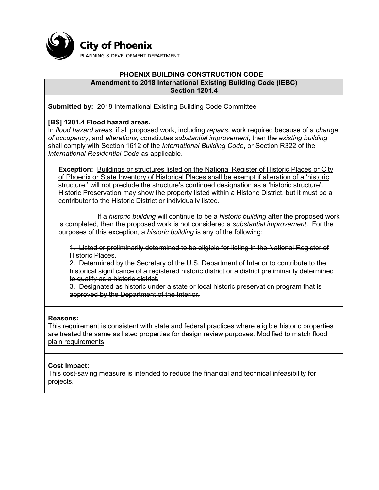

#### **PHOENIX BUILDING CONSTRUCTION CODE Amendment to 2018 International Existing Building Code (IEBC) Section 1201.4**

**Submitted by:** 2018 International Existing Building Code Committee

## **[BS] 1201.4 Flood hazard areas.**

In *flood hazard areas*, if all proposed work, including *repairs*, work required because of a *change of occupancy*, and *alterations*, constitutes *substantial improvement*, then the *existing building* shall comply with Section 1612 of the *International Building Code*, or Section R322 of the *International Residential Code* as applicable.

**Exception:** Buildings or structures listed on the National Register of Historic Places or City of Phoenix or State Inventory of Historical Places shall be exempt if alteration of a 'historic structure,' will not preclude the structure's continued designation as a 'historic structure'. Historic Preservation may show the property listed within a Historic District, but it must be a contributor to the Historic District or individually listed.

If a *historic building* will continue to be a *historic building* after the proposed work is completed, then the proposed work is not considered a *substantial improvement*. For the purposes of this exception, a *historic building* is any of the following:

1. Listed or preliminarily determined to be eligible for listing in the National Register of Historic Places.

2. Determined by the Secretary of the U.S. Department of Interior to contribute to the historical significance of a registered historic district or a district preliminarily determined to qualify as a historic district.

3. Designated as historic under a state or local historic preservation program that is approved by the Department of the Interior.

## **Reasons:**

This requirement is consistent with state and federal practices where eligible historic properties are treated the same as listed properties for design review purposes. Modified to match flood plain requirements

## **Cost Impact:**

This cost-saving measure is intended to reduce the financial and technical infeasibility for projects.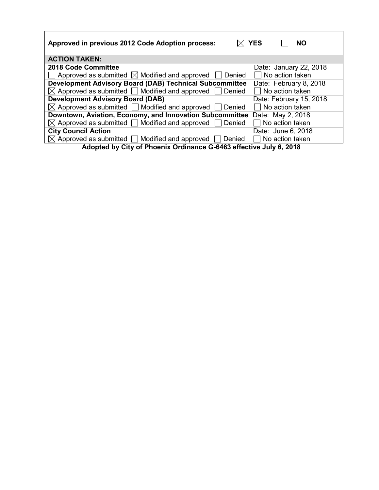| Approved in previous 2012 Code Adoption process:                           | YES<br><b>NO</b>        |  |
|----------------------------------------------------------------------------|-------------------------|--|
| <b>ACTION TAKEN:</b>                                                       |                         |  |
| 2018 Code Committee                                                        | Date: January 22, 2018  |  |
| Approved as submitted $\boxtimes$ Modified and approved<br>Denied          | No action taken         |  |
| <b>Development Advisory Board (DAB) Technical Subcommittee</b>             | Date: February 8, 2018  |  |
| $\boxtimes$ Approved as submitted $\Box$ Modified and approved<br>Denied   | No action taken         |  |
| <b>Development Advisory Board (DAB)</b>                                    | Date: February 15, 2018 |  |
| $\boxtimes$ Approved as submitted $\Box$ Modified and approved [<br>Denied | $\Box$ No action taken  |  |
| Downtown, Aviation, Economy, and Innovation Subcommittee                   | Date: May 2, 2018       |  |
| $\boxtimes$ Approved as submitted $\Box$ Modified and approved<br>Denied   | No action taken         |  |
| <b>City Council Action</b>                                                 | Date: June 6, 2018      |  |
| $\boxtimes$ Approved as submitted $\Box$ Modified and approved [<br>Denied | No action taken         |  |
| Adopted by City of Phoenix Ordinance G-6463 effective July 6, 2018         |                         |  |

Г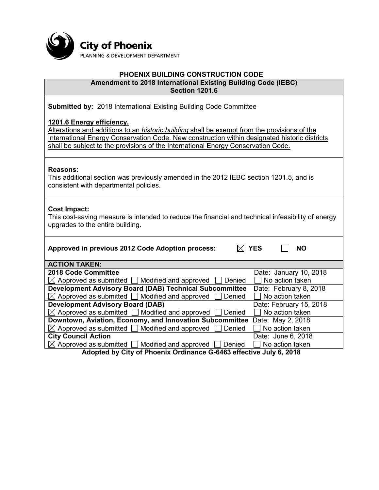

# **PHOENIX BUILDING CONSTRUCTION CODE**

**Amendment to 2018 International Existing Building Code (IEBC) Section 1201.6**

**Submitted by:** 2018 International Existing Building Code Committee

## **1201.6 Energy efficiency.**

Alterations and additions to an *historic building* shall be exempt from the provisions of the International Energy Conservation Code. New construction within designated historic districts shall be subject to the provisions of the International Energy Conservation Code.

## **Reasons:**

This additional section was previously amended in the 2012 IEBC section 1201.5, and is consistent with departmental policies.

## **Cost Impact:**

This cost-saving measure is intended to reduce the financial and technical infeasibility of energy upgrades to the entire building.

| Approved in previous 2012 Code Adoption process:                                | <b>YES</b><br><b>NO</b> |
|---------------------------------------------------------------------------------|-------------------------|
| <b>ACTION TAKEN:</b>                                                            |                         |
| 2018 Code Committee                                                             | Date: January 10, 2018  |
| $\boxtimes$ Approved as submitted $\Box$ Modified and approved<br>Denied        | No action taken         |
| <b>Development Advisory Board (DAB) Technical Subcommittee</b>                  | Date: February 8, 2018  |
| $\boxtimes$ Approved as submitted $\Box$ Modified and approved<br>Denied        | No action taken         |
| <b>Development Advisory Board (DAB)</b>                                         | Date: February 15, 2018 |
| $\boxtimes$ Approved as submitted $\Box$ Modified and approved $\Box$<br>Denied | No action taken         |
| Downtown, Aviation, Economy, and Innovation Subcommittee                        | Date: May 2, 2018       |
| $\boxtimes$ Approved as submitted $\Box$ Modified and approved<br>Denied        | No action taken         |
| <b>City Council Action</b>                                                      | Date: June 6, 2018      |
| $\boxtimes$ Approved as submitted $\Box$ Modified and approved [<br>Denied      | No action taken         |
| Adopted by City of Phoenix Ordinance G-6463 effective July 6, 2018              |                         |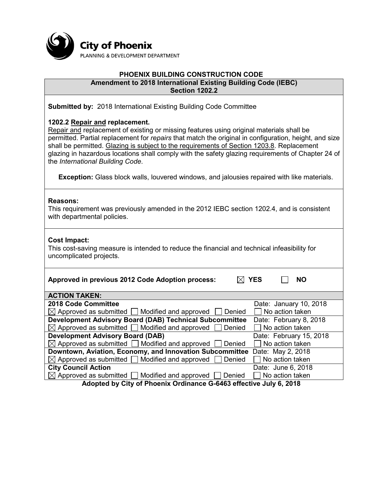

#### **PHOENIX BUILDING CONSTRUCTION CODE Amendment to 2018 International Existing Building Code (IEBC) Section 1202.2**

**Submitted by:** 2018 International Existing Building Code Committee

## **1202.2 Repair and replacement.**

Repair and replacement of existing or missing features using original materials shall be permitted. Partial replacement for *repairs* that match the original in configuration, height, and size shall be permitted. Glazing is subject to the requirements of Section 1203.8. Replacement glazing in hazardous locations shall comply with the safety glazing requirements of Chapter 24 of the *International Building Code*.

**Exception:** Glass block walls, louvered windows, and jalousies repaired with like materials.

## **Reasons:**

This requirement was previously amended in the 2012 IEBC section 1202.4, and is consistent with departmental policies.

## **Cost Impact:**

This cost-saving measure is intended to reduce the financial and technical infeasibility for uncomplicated projects.

| Approved in previous 2012 Code Adoption process:                           | <b>YES</b><br><b>NO</b> |  |
|----------------------------------------------------------------------------|-------------------------|--|
| <b>ACTION TAKEN:</b>                                                       |                         |  |
| 2018 Code Committee                                                        | Date: January 10, 2018  |  |
| $\boxtimes$ Approved as submitted $\Box$ Modified and approved<br>Denied   | No action taken         |  |
| <b>Development Advisory Board (DAB) Technical Subcommittee</b>             | Date: February 8, 2018  |  |
| $\boxtimes$ Approved as submitted $\Box$ Modified and approved<br>Denied   | $\Box$ No action taken  |  |
| <b>Development Advisory Board (DAB)</b>                                    | Date: February 15, 2018 |  |
| $\boxtimes$ Approved as submitted $\Box$ Modified and approved<br>Denied   | No action taken         |  |
| Downtown, Aviation, Economy, and Innovation Subcommittee                   | Date: May 2, 2018       |  |
| $\boxtimes$ Approved as submitted $\Box$ Modified and approved<br>Denied   | No action taken         |  |
| <b>City Council Action</b>                                                 | Date: June 6, 2018      |  |
| $\boxtimes$ Approved as submitted $\Box$ Modified and approved  <br>Denied | No action taken         |  |
| Adopted by City of Phoenix Ordinance G-6463 effective July 6, 2018         |                         |  |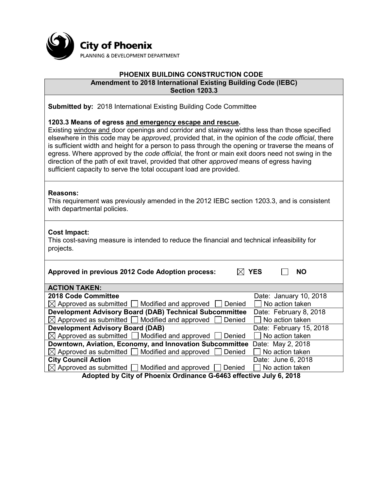

#### **PHOENIX BUILDING CONSTRUCTION CODE Amendment to 2018 International Existing Building Code (IEBC) Section 1203.3**

**Submitted by:** 2018 International Existing Building Code Committee

#### **1203.3 Means of egress and emergency escape and rescue.**

Existing window and door openings and corridor and stairway widths less than those specified elsewhere in this code may be *approved*, provided that, in the opinion of the *code official*, there is sufficient width and height for a person to pass through the opening or traverse the means of egress. Where approved by the *code official*, the front or main exit doors need not swing in the direction of the path of exit travel, provided that other *approved* means of egress having sufficient capacity to serve the total occupant load are provided.

#### **Reasons:**

This requirement was previously amended in the 2012 IEBC section 1203.3, and is consistent with departmental policies.

## **Cost Impact:**

This cost-saving measure is intended to reduce the financial and technical infeasibility for projects.

| Approved in previous 2012 Code Adoption process:                           | <b>YES</b><br><b>NO</b> |  |
|----------------------------------------------------------------------------|-------------------------|--|
| <b>ACTION TAKEN:</b>                                                       |                         |  |
| 2018 Code Committee                                                        | Date: January 10, 2018  |  |
| $\boxtimes$ Approved as submitted $\Box$ Modified and approved<br>Denied   | No action taken         |  |
| <b>Development Advisory Board (DAB) Technical Subcommittee</b>             | Date: February 8, 2018  |  |
| $\boxtimes$ Approved as submitted $\Box$ Modified and approved<br>Denied   | No action taken         |  |
| <b>Development Advisory Board (DAB)</b>                                    | Date: February 15, 2018 |  |
| $\boxtimes$ Approved as submitted $\Box$ Modified and approved<br>Denied   | No action taken         |  |
| Downtown, Aviation, Economy, and Innovation Subcommittee                   | Date: May 2, 2018       |  |
| $\boxtimes$ Approved as submitted $\Box$ Modified and approved<br>Denied   | No action taken         |  |
| <b>City Council Action</b>                                                 | Date: June 6, 2018      |  |
| $\boxtimes$ Approved as submitted $\Box$ Modified and approved [<br>Denied | No action taken         |  |
| Adentical by City of Dhoopiy Ordinance C.C4C2 officitive July C. 2040      |                         |  |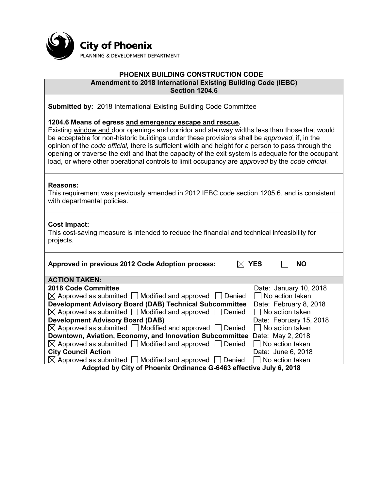

## **PHOENIX BUILDING CONSTRUCTION CODE Amendment to 2018 International Existing Building Code (IEBC)**

**Section 1204.6**

**Submitted by:** 2018 International Existing Building Code Committee

## **1204.6 Means of egress and emergency escape and rescue.**

Existing window and door openings and corridor and stairway widths less than those that would be acceptable for non-historic buildings under these provisions shall be *approved*, if, in the opinion of the *code official*, there is sufficient width and height for a person to pass through the opening or traverse the exit and that the capacity of the exit system is adequate for the occupant load, or where other operational controls to limit occupancy are *approved* by the *code official*.

#### **Reasons:**

This requirement was previously amended in 2012 IEBC code section 1205.6, and is consistent with departmental policies.

## **Cost Impact:**

This cost-saving measure is intended to reduce the financial and technical infeasibility for projects.

| Approved in previous 2012 Code Adoption process:                              | <b>YES</b><br><b>NO</b> |  |
|-------------------------------------------------------------------------------|-------------------------|--|
| <b>ACTION TAKEN:</b>                                                          |                         |  |
| 2018 Code Committee                                                           | Date: January 10, 2018  |  |
| $\boxtimes$ Approved as submitted $\Box$ Modified and approved<br>Denied      | No action taken         |  |
| <b>Development Advisory Board (DAB) Technical Subcommittee</b>                | Date: February 8, 2018  |  |
| $\boxtimes$ Approved as submitted $\Box$ Modified and approved<br>Denied      | No action taken         |  |
| <b>Development Advisory Board (DAB)</b>                                       | Date: February 15, 2018 |  |
| $\boxtimes$ Approved as submitted $\Box$ Modified and approved<br>Denied      | No action taken         |  |
| Downtown, Aviation, Economy, and Innovation Subcommittee                      | Date: May 2, 2018       |  |
| $\boxtimes$ Approved as submitted $\Box$ Modified and approved<br>Denied      | No action taken         |  |
| <b>City Council Action</b>                                                    | Date: June 6, 2018      |  |
| $\boxtimes$ Approved as submitted [<br>$\Box$ Modified and approved<br>Denied | No action taken         |  |
| Adopted by City of Phoenix Ordinance C 6463 offective July 6, 2018            |                         |  |